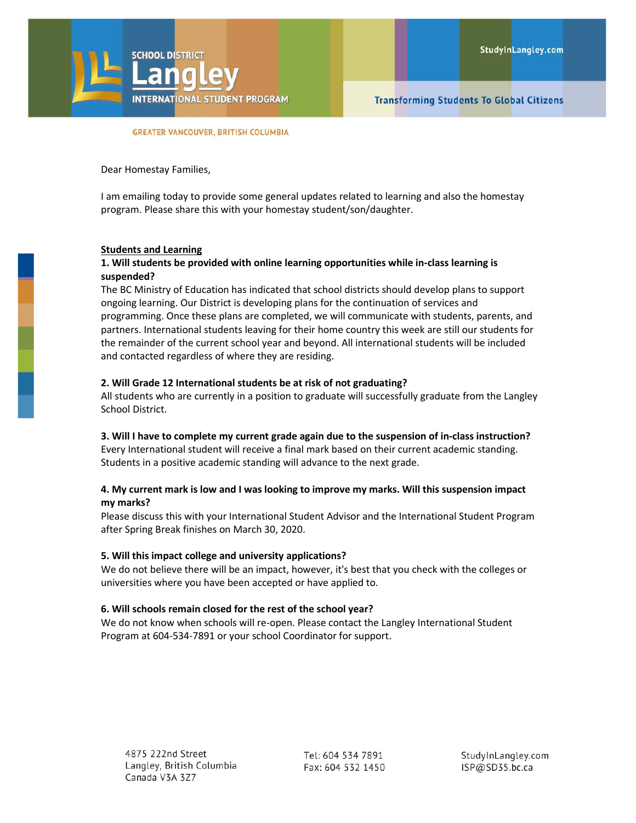

#### **GREATER VANCOUVER, BRITISH COLUMBIA**

Dear Homestay Families,

I am emailing today to provide some general updates related to learning and also the homestay program. Please share this with your homestay student/son/daughter.

#### **Students and Learning**

# **1. Will students be provided with online learning opportunities while in-class learning is suspended?**

The BC Ministry of Education has indicated that school districts should develop plans to support ongoing learning. Our District is developing plans for the continuation of services and programming. Once these plans are completed, we will communicate with students, parents, and partners. International students leaving for their home country this week are still our students for the remainder of the current school year and beyond. All international students will be included and contacted regardless of where they are residing.

## **2. Will Grade 12 International students be at risk of not graduating?**

All students who are currently in a position to graduate will successfully graduate from the Langley School District.

### **3. Will I have to complete my current grade again due to the suspension of in-class instruction?**

Every International student will receive a final mark based on their current academic standing. Students in a positive academic standing will advance to the next grade.

# **4. My current mark is low and I was looking to improve my marks. Will this suspension impact my marks?**

Please discuss this with your International Student Advisor and the International Student Program after Spring Break finishes on March 30, 2020.

### **5. Will this impact college and university applications?**

We do not believe there will be an impact, however, it's best that you check with the colleges or universities where you have been accepted or have applied to.

### **6. Will schools remain closed for the rest of the school year?**

We do not know when schools will re-open. Please contact the Langley International Student Program at 604-534-7891 or your school Coordinator for support.